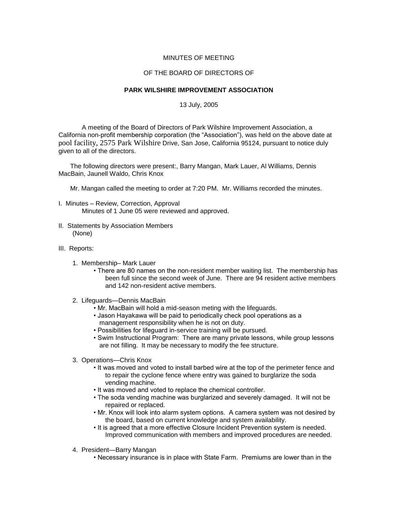## MINUTES OF MEETING

## OF THE BOARD OF DIRECTORS OF

## **PARK WILSHIRE IMPROVEMENT ASSOCIATION**

13 July, 2005

A meeting of the Board of Directors of Park Wilshire Improvement Association, a California non-profit membership corporation (the "Association"), was held on the above date at pool facility, 2575 Park Wilshire Drive, San Jose, California 95124, pursuant to notice duly given to all of the directors.

The following directors were present:, Barry Mangan, Mark Lauer, Al Williams, Dennis MacBain, Jaunell Waldo, Chris Knox

Mr. Mangan called the meeting to order at 7:20 PM. Mr. Williams recorded the minutes.

- I. Minutes Review, Correction, Approval Minutes of 1 June 05 were reviewed and approved.
- II. Statements by Association Members (None)
- III. Reports:
	- 1. Membership– Mark Lauer
		- There are 80 names on the non-resident member waiting list. The membership has been full since the second week of June. There are 94 resident active members and 142 non-resident active members.
	- 2. Lifeguards—Dennis MacBain
		- Mr. MacBain will hold a mid-season meting with the lifeguards.
		- Jason Hayakawa will be paid to periodically check pool operations as a management responsibility when he is not on duty.
		- Possibilities for lifeguard in-service training will be pursued.
		- Swim Instructional Program: There are many private lessons, while group lessons are not filling. It may be necessary to modify the fee structure.
	- 3. Operations—Chris Knox
		- It was moved and voted to install barbed wire at the top of the perimeter fence and to repair the cyclone fence where entry was gained to burglarize the soda vending machine.
		- It was moved and voted to replace the chemical controller.
		- The soda vending machine was burglarized and severely damaged. It will not be repaired or replaced.
		- Mr. Knox will look into alarm system options. A camera system was not desired by the board, based on current knowledge and system availability.
		- It is agreed that a more effective Closure Incident Prevention system is needed. Improved communication with members and improved procedures are needed.
	- 4. President—Barry Mangan
		- Necessary insurance is in place with State Farm. Premiums are lower than in the